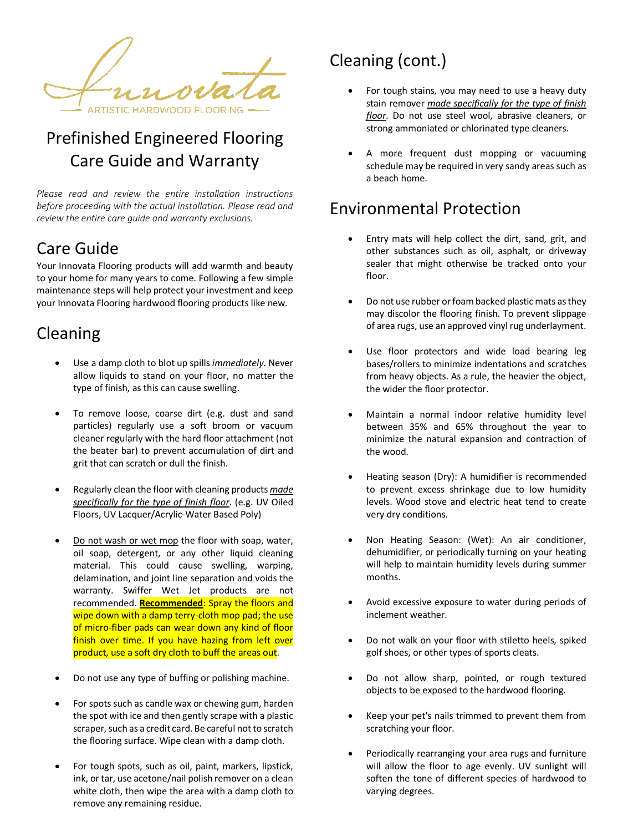ARTISTIC HARDWOOD FLOORING -

# Prefinished Engineered Flooring Care Guide and Warranty

*Please read and review the entire installation instructions before proceeding with the actual installation. Please read and review the entire care guide and warranty exclusions.* 

## Care Guide

Your Innovata Flooring products will add warmth and beauty to your home for many years to come. Following a few simple maintenance steps will help protect your investment and keep your Innovata Flooring hardwood flooring products like new.

## Cleaning

- Use a damp cloth to blot up spills *immediately*. Never allow liquids to stand on your floor, no matter the type of finish, as this can cause swelling.
- To remove loose, coarse dirt (e.g. dust and sand particles) regularly use a soft broom or vacuum cleaner regularly with the hard floor attachment (not the beater bar) to prevent accumulation of dirt and grit that can scratch or dull the finish.
- Regularly clean the floor with cleaning products *made specifically for the type of finish floor*. (e.g. UV Oiled Floors, UV Lacquer/Acrylic-Water Based Poly)
- Do not wash or wet mop the floor with soap, water, oil soap, detergent, or any other liquid cleaning material. This could cause swelling, warping, delamination, and joint line separation and voids the warranty. Swiffer Wet Jet products are not recommended. **Recommended**: Spray the floors and wipe down with a damp terry-cloth mop pad; the use of micro-fiber pads can wear down any kind of floor finish over time. If you have hazing from left over product, use a soft dry cloth to buff the areas out.
- Do not use any type of buffing or polishing machine.
- For spots such as candle wax or chewing gum, harden the spot with ice and then gently scrape with a plastic scraper, such as a credit card. Be careful not to scratch the flooring surface. Wipe clean with a damp cloth.
- For tough spots, such as oil, paint, markers, lipstick, ink, or tar, use acetone/nail polish remover on a clean white cloth, then wipe the area with a damp cloth to remove any remaining residue.

# Cleaning (cont.)

- For tough stains, you may need to use a heavy duty stain remover *made specifically for the type of finish floor*. Do not use steel wool, abrasive cleaners, or strong ammoniated or chlorinated type cleaners.
- A more frequent dust mopping or vacuuming schedule may be required in very sandy areas such as a beach home.

## Environmental Protection

- Entry mats will help collect the dirt, sand, grit, and other substances such as oil, asphalt, or driveway sealer that might otherwise be tracked onto your floor.
- Do not use rubber or foam backed plastic mats as they may discolor the flooring finish. To prevent slippage of area rugs, use an approved vinyl rug underlayment.
- Use floor protectors and wide load bearing leg bases/rollers to minimize indentations and scratches from heavy objects. As a rule, the heavier the object, the wider the floor protector.
- Maintain a normal indoor relative humidity level between 35% and 65% throughout the year to minimize the natural expansion and contraction of the wood.
- Heating season (Dry): A humidifier is recommended to prevent excess shrinkage due to low humidity levels. Wood stove and electric heat tend to create very dry conditions.
- Non Heating Season: (Wet): An air conditioner, dehumidifier, or periodically turning on your heating will help to maintain humidity levels during summer months.
- Avoid excessive exposure to water during periods of inclement weather.
- Do not walk on your floor with stiletto heels, spiked golf shoes, or other types of sports cleats.
- Do not allow sharp, pointed, or rough textured objects to be exposed to the hardwood flooring.
- Keep your pet's nails trimmed to prevent them from scratching your floor.
- Periodically rearranging your area rugs and furniture will allow the floor to age evenly. UV sunlight will soften the tone of different species of hardwood to varying degrees.